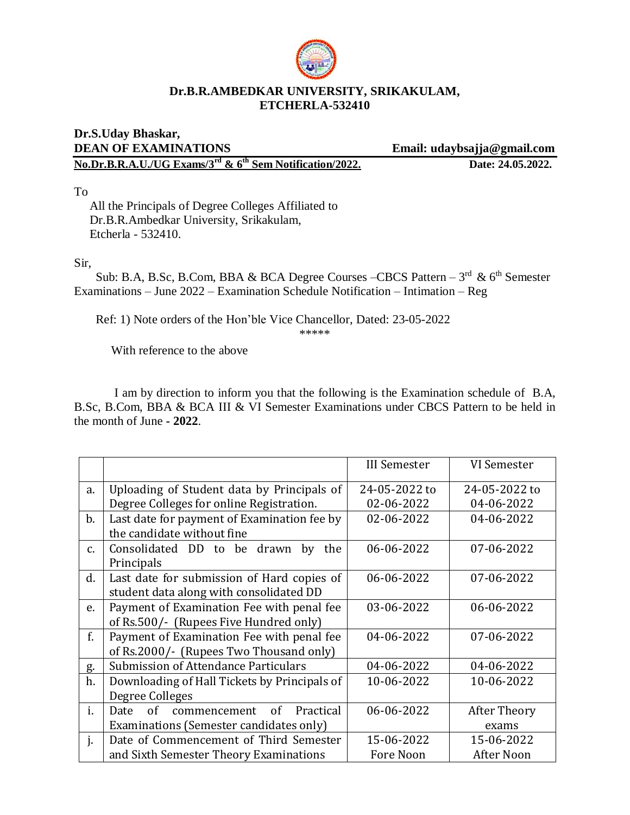

## **Dr.B.R.AMBEDKAR UNIVERSITY, SRIKAKULAM, ETCHERLA-532410**

## **Dr.S.Uday Bhaskar, DEAN OF EXAMINATIONS Email: udaybsajja@gmail.com No.Dr.B.R.A.U./UG Exams/3<sup>rd</sup> & 6<sup>th</sup> Sem Notification/2022. Date: 24.05.2022.**

To

 All the Principals of Degree Colleges Affiliated to Dr.B.R.Ambedkar University, Srikakulam, Etcherla - 532410.

Sir,

Sub: B.A, B.Sc, B.Com, BBA & BCA Degree Courses –CBCS Pattern –  $3<sup>rd</sup>$  &  $6<sup>th</sup>$  Semester Examinations – June 2022 – Examination Schedule Notification – Intimation – Reg

Ref: 1) Note orders of the Hon'ble Vice Chancellor, Dated: 23-05-2022

\*\*\*\*\*

With reference to the above

I am by direction to inform you that the following is the Examination schedule of B.A, B.Sc, B.Com, BBA & BCA III & VI Semester Examinations under CBCS Pattern to be held in the month of June **- 2022**.

|               |                                                | <b>III Semester</b> | VI Semester   |
|---------------|------------------------------------------------|---------------------|---------------|
| a.            | Uploading of Student data by Principals of     | 24-05-2022 to       | 24-05-2022 to |
|               | Degree Colleges for online Registration.       | 02-06-2022          | 04-06-2022    |
| $\mathbf b$ . | Last date for payment of Examination fee by    | 02-06-2022          | 04-06-2022    |
|               | the candidate without fine                     |                     |               |
| C.            | Consolidated DD<br>be drawn<br>by<br>to<br>the | 06-06-2022          | 07-06-2022    |
|               | Principals                                     |                     |               |
| d.            | Last date for submission of Hard copies of     | 06-06-2022          | 07-06-2022    |
|               | student data along with consolidated DD        |                     |               |
| e.            | Payment of Examination Fee with penal fee      | 03-06-2022          | 06-06-2022    |
|               | of Rs.500/- (Rupees Five Hundred only)         |                     |               |
| f.            | Payment of Examination Fee with penal fee      | 04-06-2022          | 07-06-2022    |
|               | of Rs.2000/- (Rupees Two Thousand only)        |                     |               |
| g.            | Submission of Attendance Particulars           | 04-06-2022          | 04-06-2022    |
| h.            | Downloading of Hall Tickets by Principals of   | 10-06-2022          | 10-06-2022    |
|               | Degree Colleges                                |                     |               |
| i.            | of<br>Practical<br>of<br>Date<br>commencement  | 06-06-2022          | After Theory  |
|               | Examinations (Semester candidates only)        |                     | exams         |
| j.            | Date of Commencement of Third Semester         | 15-06-2022          | 15-06-2022    |
|               | and Sixth Semester Theory Examinations         | Fore Noon           | After Noon    |